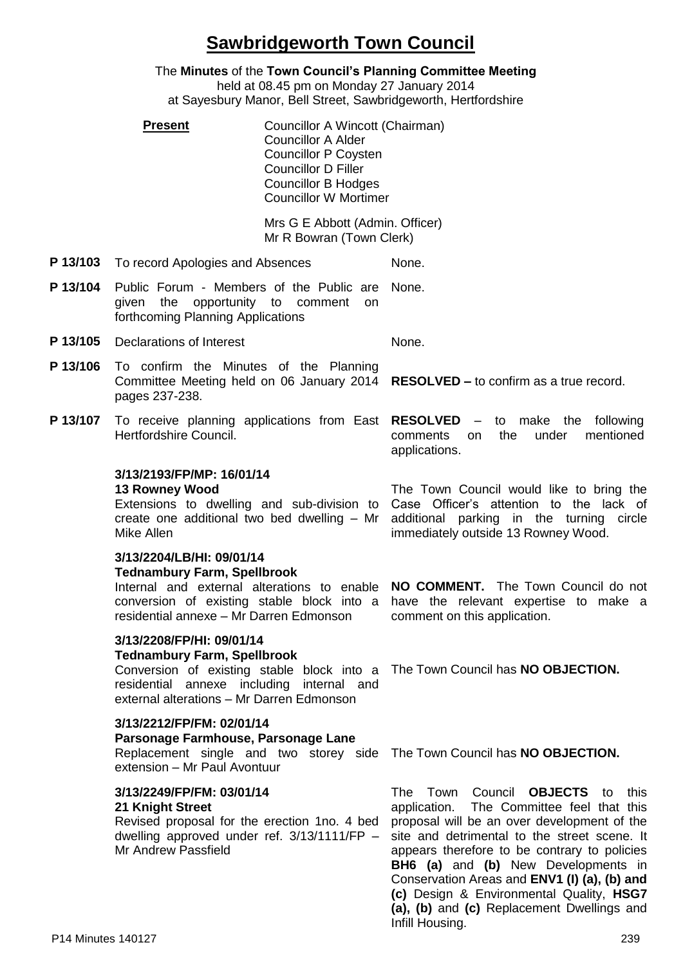# **Sawbridgeworth Town Council**

The **Minutes** of the **Town Council's Planning Committee Meeting** held at 08.45 pm on Monday 27 January 2014 at Sayesbury Manor, Bell Street, Sawbridgeworth, Hertfordshire

**Present Councillor A Wincott (Chairman)** Councillor A Alder Councillor P Coysten Councillor D Filler Councillor B Hodges Councillor W Mortimer

> Mrs G E Abbott (Admin. Officer) Mr R Bowran (Town Clerk)

- **P 13/103** To record Apologies and Absences None.
- **P 13/104** Public Forum Members of the Public are given the opportunity to comment on forthcoming Planning Applications None.
- **P 13/105** Declarations of Interest None.
- **P 13/106** To confirm the Minutes of the Planning Committee Meeting held on 06 January 2014 pages 237-238. **RESOLVED –** to confirm as a true record.
- **P 13/107** To receive planning applications from East RESOLVED -Hertfordshire Council.

### **3/13/2193/FP/MP: 16/01/14**

#### **13 Rowney Wood**

Extensions to dwelling and sub-division to create one additional two bed dwelling – Mr Mike Allen

#### **3/13/2204/LB/HI: 09/01/14**

### **Tednambury Farm, Spellbrook**

Internal and external alterations to enable **NO COMMENT.** The Town Council do not conversion of existing stable block into a residential annexe – Mr Darren Edmonson

# **3/13/2208/FP/HI: 09/01/14**

### **Tednambury Farm, Spellbrook**

Conversion of existing stable block into a The Town Council has **NO OBJECTION.** residential annexe including internal and external alterations – Mr Darren Edmonson

#### **3/13/2212/FP/FM: 02/01/14 Parsonage Farmhouse, Parsonage Lane**

Replacement single and two storey side extension – Mr Paul Avontuur

### **3/13/2249/FP/FM: 03/01/14 21 Knight Street**

Revised proposal for the erection 1no. 4 bed dwelling approved under ref. 3/13/1111/FP – Mr Andrew Passfield

The Town Council would like to bring the Case Officer's attention to the lack of additional parking in the turning circle immediately outside 13 Rowney Wood.

comments on the under mentioned

applications.

to make the following

have the relevant expertise to make a comment on this application.

The Town Council has **NO OBJECTION.**

The Town Council **OBJECTS** to this application. The Committee feel that this proposal will be an over development of the site and detrimental to the street scene. It appears therefore to be contrary to policies **BH6 (a)** and **(b)** New Developments in Conservation Areas and **ENV1 (I) (a), (b) and (c)** Design & Environmental Quality, **HSG7 (a), (b)** and **(c)** Replacement Dwellings and Infill Housing.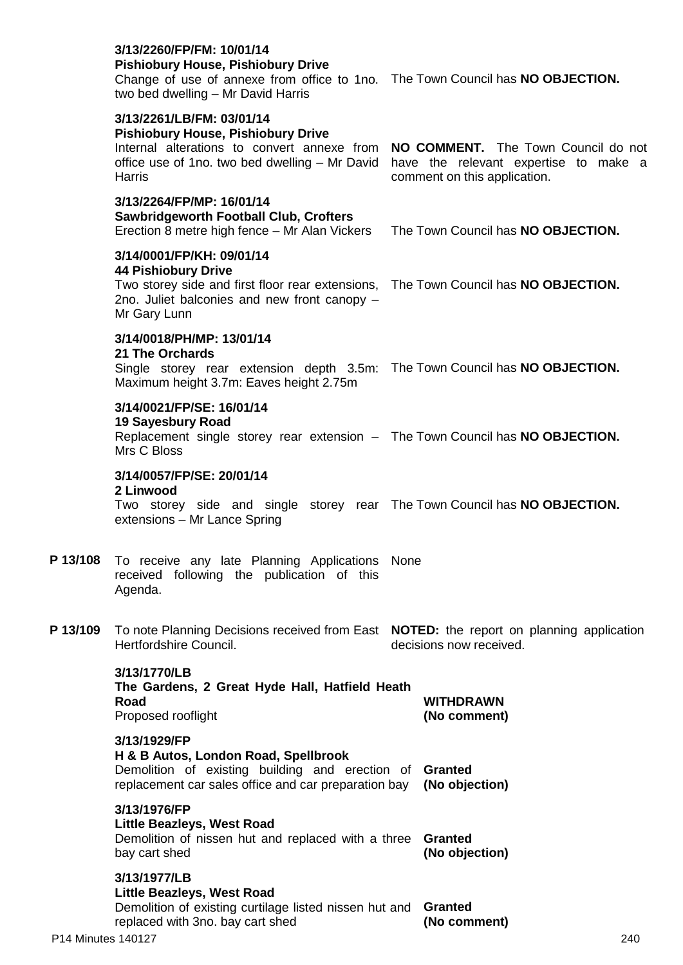|                    | oawwwggeworth i ootbail Oldb, Oloheis<br>Erection 8 metre high fence - Mr Alan Vickers The Town Council has NO OBJECTION.                                                                                      |  |                                  |     |
|--------------------|----------------------------------------------------------------------------------------------------------------------------------------------------------------------------------------------------------------|--|----------------------------------|-----|
|                    | 3/14/0001/FP/KH: 09/01/14<br><b>44 Pishiobury Drive</b><br>Two storey side and first floor rear extensions, The Town Council has NO OBJECTION.<br>2no. Juliet balconies and new front canopy -<br>Mr Gary Lunn |  |                                  |     |
|                    | 3/14/0018/PH/MP: 13/01/14<br><b>21 The Orchards</b><br>Single storey rear extension depth 3.5m: The Town Council has NO OBJECTION.<br>Maximum height 3.7m: Eaves height 2.75m                                  |  |                                  |     |
|                    | 3/14/0021/FP/SE: 16/01/14<br><b>19 Sayesbury Road</b><br>Replacement single storey rear extension - The Town Council has NO OBJECTION.<br>Mrs C Bloss                                                          |  |                                  |     |
|                    | 3/14/0057/FP/SE: 20/01/14<br>2 Linwood<br>Two storey side and single storey rear The Town Council has <b>NO OBJECTION.</b><br>extensions - Mr Lance Spring                                                     |  |                                  |     |
| P 13/108           | To receive any late Planning Applications None<br>received following the publication of this<br>Agenda.                                                                                                        |  |                                  |     |
| P 13/109           | To note Planning Decisions received from East NOTED: the report on planning application<br>Hertfordshire Council.                                                                                              |  | decisions now received.          |     |
|                    | 3/13/1770/LB<br>The Gardens, 2 Great Hyde Hall, Hatfield Heath<br>Road<br>Proposed rooflight                                                                                                                   |  | <b>WITHDRAWN</b><br>(No comment) |     |
|                    | 3/13/1929/FP<br>H & B Autos, London Road, Spellbrook<br>Demolition of existing building and erection of Granted<br>replacement car sales office and car preparation bay                                        |  | (No objection)                   |     |
|                    | 3/13/1976/FP<br><b>Little Beazleys, West Road</b><br>Demolition of nissen hut and replaced with a three<br>bay cart shed                                                                                       |  | <b>Granted</b><br>(No objection) |     |
| P14 Minutes 140127 | 3/13/1977/LB<br><b>Little Beazleys, West Road</b><br>Demolition of existing curtilage listed nissen hut and<br>replaced with 3no. bay cart shed                                                                |  | <b>Granted</b><br>(No comment)   | 240 |

## **3/13/2260/FP/FM: 10/01/14**

### **Pishiobury House, Pishiobury Drive**

Change of use of annexe from office to 1no. The Town Council has **NO OBJECTION.** two bed dwelling – Mr David Harris

comment on this application.

## **3/13/2261/LB/FM: 03/01/14**

# **Pishiobury House, Pishiobury Drive**

Internal alterations to convert annexe from **NO COMMENT.** The Town Council do not office use of 1no. two bed dwelling – Mr David have the relevant expertise to make a **Harris** 

# **3/13/2264/FP/MP: 16/01/14**

**Sawbridgeworth Football Club, Crofters**

- **P 13/108** To receive any late Planning Applications
- **P 13/109** To note Planning Decisions received from East